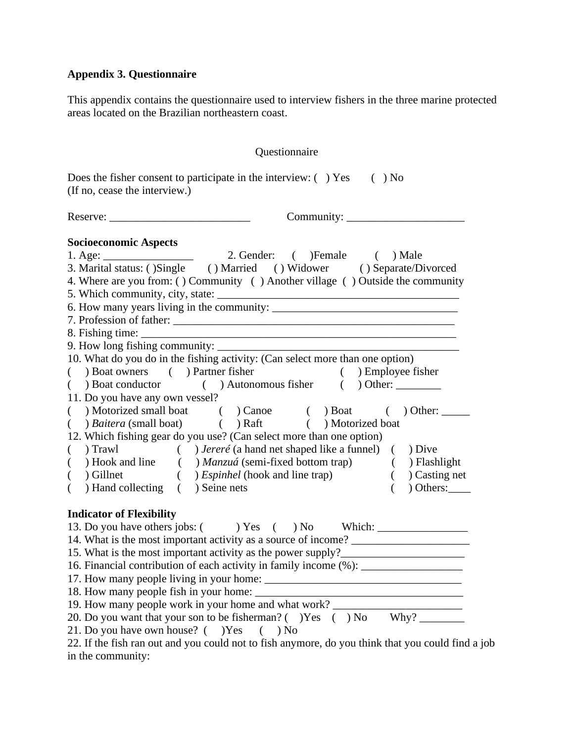## **Appendix 3. Questionnaire**

This appendix contains the questionnaire used to interview fishers in the three marine protected areas located on the Brazilian northeastern coast.

| Does the fisher consent to participate in the interview: $( \ )$ Yes $( \ )$ No<br>(If no, cease the interview.)<br><b>Socioeconomic Aspects</b><br>1. Age: 2. Gender: ( ) Female ( ) Male<br>3. Marital status: ( ) Single ( ) Married ( ) Widower ( ) Separate/Divorced<br>4. Where are you from: () Community () Another village () Outside the community<br>7. Profession of father:<br>9. How long fishing community:<br>10. What do you do in the fishing activity: (Can select more than one option)<br>(b) Boat owners (c) Partner fisher (c) Employee fisher<br>( ) Boat conductor ( ) Autonomous fisher ( ) Other:<br>11. Do you have any own vessel?<br>() Motorized small boat () Canoe () Boat () Other:<br>( ) Baitera (small boat) ( ) Raft ( ) Motorized boat<br>12. Which fishing gear do you use? (Can select more than one option)<br>() Trawl () Jereré (a hand net shaped like a funnel) () Dive<br>(b) Hook and line (b) Manzuá (semi-fixed bottom trap) (b) Flashlight (c) Gillnet (c) Espinhel (hook and line trap) (c) Casting net<br>$($ $)$ Casting net<br>( ) Hand collecting ( ) Seine nets<br>$)$ Others:<br>$\left($<br><b>Indicator of Flexibility</b><br>14. What is the most important activity as a source of income? __________________<br>15. What is the most important activity as the power supply?_____________________<br>16. Financial contribution of each activity in family income (%): _______________ | Questionnaire                                                                                     |  |  |  |  |  |  |
|-------------------------------------------------------------------------------------------------------------------------------------------------------------------------------------------------------------------------------------------------------------------------------------------------------------------------------------------------------------------------------------------------------------------------------------------------------------------------------------------------------------------------------------------------------------------------------------------------------------------------------------------------------------------------------------------------------------------------------------------------------------------------------------------------------------------------------------------------------------------------------------------------------------------------------------------------------------------------------------------------------------------------------------------------------------------------------------------------------------------------------------------------------------------------------------------------------------------------------------------------------------------------------------------------------------------------------------------------------------------------------------------------------------------------------------------------------|---------------------------------------------------------------------------------------------------|--|--|--|--|--|--|
|                                                                                                                                                                                                                                                                                                                                                                                                                                                                                                                                                                                                                                                                                                                                                                                                                                                                                                                                                                                                                                                                                                                                                                                                                                                                                                                                                                                                                                                       |                                                                                                   |  |  |  |  |  |  |
|                                                                                                                                                                                                                                                                                                                                                                                                                                                                                                                                                                                                                                                                                                                                                                                                                                                                                                                                                                                                                                                                                                                                                                                                                                                                                                                                                                                                                                                       |                                                                                                   |  |  |  |  |  |  |
|                                                                                                                                                                                                                                                                                                                                                                                                                                                                                                                                                                                                                                                                                                                                                                                                                                                                                                                                                                                                                                                                                                                                                                                                                                                                                                                                                                                                                                                       |                                                                                                   |  |  |  |  |  |  |
|                                                                                                                                                                                                                                                                                                                                                                                                                                                                                                                                                                                                                                                                                                                                                                                                                                                                                                                                                                                                                                                                                                                                                                                                                                                                                                                                                                                                                                                       |                                                                                                   |  |  |  |  |  |  |
| 19. How many people work in your home and what work? ___________________________<br>20. Do you want that your son to be fisherman? ( ) Yes ( ) No Why?<br>21. Do you have own house? ( )Yes<br>$($ $)$ No                                                                                                                                                                                                                                                                                                                                                                                                                                                                                                                                                                                                                                                                                                                                                                                                                                                                                                                                                                                                                                                                                                                                                                                                                                             | 22. If the fish ran out and you could not to fish anymore, do you think that you could find a job |  |  |  |  |  |  |

in the community: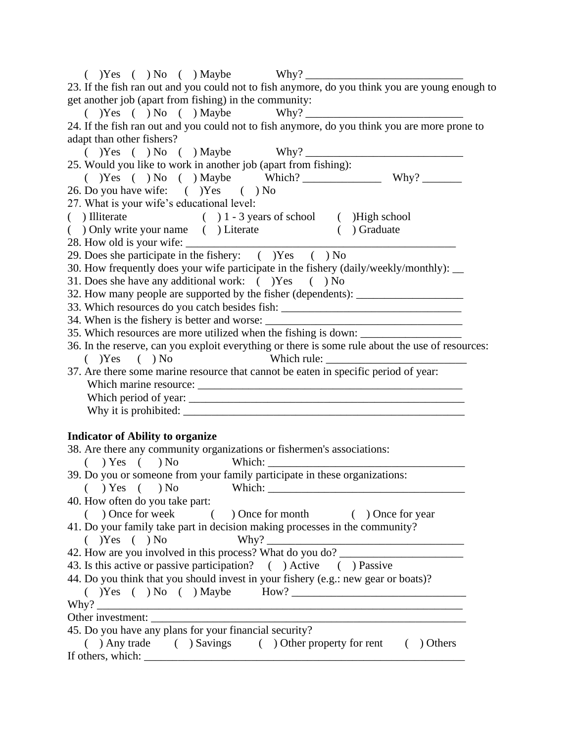| $(Y)$ $Y$ es $(Y)$ $N$ o $(Y)$ $M$ aybe $W$ hy?                                                                                                                                                                                                                                                                                                                            |
|----------------------------------------------------------------------------------------------------------------------------------------------------------------------------------------------------------------------------------------------------------------------------------------------------------------------------------------------------------------------------|
| 23. If the fish ran out and you could not to fish anymore, do you think you are young enough to                                                                                                                                                                                                                                                                            |
| get another job (apart from fishing) in the community:                                                                                                                                                                                                                                                                                                                     |
| $(Y)$ $(Y$ es $(Y)$ $N$ o $(Y)$ $M$ aybe $W$ hy?                                                                                                                                                                                                                                                                                                                           |
| 24. If the fish ran out and you could not to fish anymore, do you think you are more prone to                                                                                                                                                                                                                                                                              |
| adapt than other fishers?                                                                                                                                                                                                                                                                                                                                                  |
| $(Y)$ $(Y$ es $(Y)$ $N$ o $(Y)$ $M$ aybe $W$ hy?                                                                                                                                                                                                                                                                                                                           |
| 25. Would you like to work in another job (apart from fishing):                                                                                                                                                                                                                                                                                                            |
|                                                                                                                                                                                                                                                                                                                                                                            |
| 26. Do you have wife: () Yes () No                                                                                                                                                                                                                                                                                                                                         |
| 27. What is your wife's educational level:                                                                                                                                                                                                                                                                                                                                 |
| $( ) 1 - 3 years of school$ ( ) High school<br>$( )$ Illiterate                                                                                                                                                                                                                                                                                                            |
| ( ) Only write your name ( ) Literate ( ) Graduate                                                                                                                                                                                                                                                                                                                         |
|                                                                                                                                                                                                                                                                                                                                                                            |
| 29. Does she participate in the fishery: () Yes () No                                                                                                                                                                                                                                                                                                                      |
| 30. How frequently does your wife participate in the fishery (daily/weekly/monthly): __                                                                                                                                                                                                                                                                                    |
| 31. Does she have any additional work: $($ $)$ Yes $( )$ No                                                                                                                                                                                                                                                                                                                |
| 32. How many people are supported by the fisher (dependents): __________________                                                                                                                                                                                                                                                                                           |
| 33. Which resources do you catch besides fish: _________________________________                                                                                                                                                                                                                                                                                           |
| 34. When is the fishery is better and worse: ___________________________________                                                                                                                                                                                                                                                                                           |
| 35. Which resources are more utilized when the fishing is down: ________________                                                                                                                                                                                                                                                                                           |
| 36. In the reserve, can you exploit everything or there is some rule about the use of resources:                                                                                                                                                                                                                                                                           |
| $(Y)$ Yes $(Y)$ No                                                                                                                                                                                                                                                                                                                                                         |
| 37. Are there some marine resource that cannot be eaten in specific period of year:                                                                                                                                                                                                                                                                                        |
|                                                                                                                                                                                                                                                                                                                                                                            |
|                                                                                                                                                                                                                                                                                                                                                                            |
|                                                                                                                                                                                                                                                                                                                                                                            |
| <b>Indicator of Ability to organize</b>                                                                                                                                                                                                                                                                                                                                    |
| 38. Are there any community organizations or fishermen's associations:                                                                                                                                                                                                                                                                                                     |
|                                                                                                                                                                                                                                                                                                                                                                            |
| 39. Do you or someone from your family participate in these organizations:                                                                                                                                                                                                                                                                                                 |
| $(Y \cup Y \cup Y)$ $(Y \cup Y)$ $(Y \cup Y)$ $(Y \cup Y)$ $(Y \cup Y)$ $(Y \cup Y)$ $(Y \cup Y)$ $(Y \cup Y)$ $(Y \cup Y)$ $(Y \cup Y)$ $(Y \cup Y)$ $(Y \cup Y)$ $(Y \cup Y)$ $(Y \cup Y)$ $(Y \cup Y)$ $(Y \cup Y)$ $(Y \cup Y)$ $(Y \cup Y)$ $(Y \cup Y)$ $(Y \cup Y)$ $(Y \cup Y)$ $(Y \cup Y)$ $(Y \cup Y)$ $(Y \cup Y)$ $(Y \cup Y)$ $(Y \cup Y)$ $(Y \cup Y)$ $(Y$ |
| 40. How often do you take part:                                                                                                                                                                                                                                                                                                                                            |
| ( ) Once for week ( ) Once for month ( ) Once for year                                                                                                                                                                                                                                                                                                                     |
| 41. Do your family take part in decision making processes in the community?                                                                                                                                                                                                                                                                                                |
|                                                                                                                                                                                                                                                                                                                                                                            |
| 42. How are you involved in this process? What do you do?                                                                                                                                                                                                                                                                                                                  |
| 43. Is this active or passive participation? ( ) Active ( ) Passive                                                                                                                                                                                                                                                                                                        |
| 44. Do you think that you should invest in your fishery (e.g.: new gear or boats)?                                                                                                                                                                                                                                                                                         |
| $(Y)$ $(Y$ es $(Y)$ $N$ o $(Y)$ $M$ aybe $M$ ow? $\frac{1}{1}$                                                                                                                                                                                                                                                                                                             |
|                                                                                                                                                                                                                                                                                                                                                                            |
|                                                                                                                                                                                                                                                                                                                                                                            |
| 45. Do you have any plans for your financial security?                                                                                                                                                                                                                                                                                                                     |
| ( ) Any trade ( ) Savings ( ) Other property for rent ( ) Others                                                                                                                                                                                                                                                                                                           |
|                                                                                                                                                                                                                                                                                                                                                                            |
|                                                                                                                                                                                                                                                                                                                                                                            |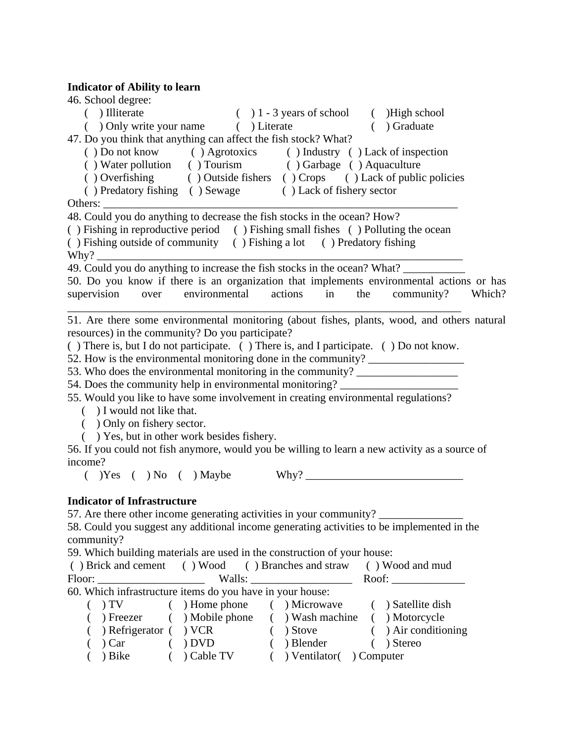## **Indicator of Ability to learn**

| 46. School degree:                                                                             |
|------------------------------------------------------------------------------------------------|
| $( ) 1 - 3 years of school$ ( ) High school<br>$( )$ Illiterate                                |
| ( ) Only write your name ( ) Literate<br>( ) Graduate                                          |
| 47. Do you think that anything can affect the fish stock? What?                                |
| () Do not know () Agrotoxics () Industry () Lack of inspection                                 |
| () Water pollution () Tourism () Garbage () Aquaculture                                        |
| () Overfishing () Outside fishers () Crops () Lack of public policies                          |
| () Predatory fishing () Sewage () Lack of fishery sector                                       |
|                                                                                                |
| 48. Could you do anything to decrease the fish stocks in the ocean? How?                       |
| () Fishing in reproductive period () Fishing small fishes () Polluting the ocean               |
| () Fishing outside of community () Fishing a lot () Predatory fishing                          |
|                                                                                                |
|                                                                                                |
| 50. Do you know if there is an organization that implements environmental actions or has       |
| environmental<br>community?<br>supervision<br>actions<br>the<br>Which?<br>over<br>in           |
|                                                                                                |
| 51. Are there some environmental monitoring (about fishes, plants, wood, and others natural    |
| resources) in the community? Do you participate?                                               |
| () There is, but I do not participate. () There is, and I participate. () Do not know.         |
| 52. How is the environmental monitoring done in the community? _________________               |
| 53. Who does the environmental monitoring in the community? ____________________               |
| 54. Does the community help in environmental monitoring? _______________________               |
| 55. Would you like to have some involvement in creating environmental regulations?             |
| ( ) I would not like that.                                                                     |
| ( ) Only on fishery sector.<br>() Yes, but in other work besides fishery.                      |
| 56. If you could not fish anymore, would you be willing to learn a new activity as a source of |
| income?                                                                                        |
| $(Y)$ $Yes ( ) No ( ) Maybe$                                                                   |
|                                                                                                |
| <b>Indicator of Infrastructure</b>                                                             |
| 57. Are there other income generating activities in your community? ____________               |
| 58. Could you suggest any additional income generating activities to be implemented in the     |
| community?                                                                                     |
| 59. Which building materials are used in the construction of your house:                       |
| () Brick and cement () Wood () Branches and straw () Wood and mud                              |
|                                                                                                |
| 60. Which infrastructure items do you have in your house:                                      |
| ( ) Home phone ( ) Microwave ( ) Satellite dish<br>) TV                                        |
| ) Freezer ( ) Mobile phone<br>( ) Wash machine ( ) Motorcycle                                  |
| ) Air conditioning<br>) Refrigerator ( ) VCR<br>$)$ Stove                                      |
| ) Blender<br>(Car)<br>) DVD<br>) Stereo                                                        |

( ) Bike ( ) Cable TV ( ) Ventilator( ) Computer